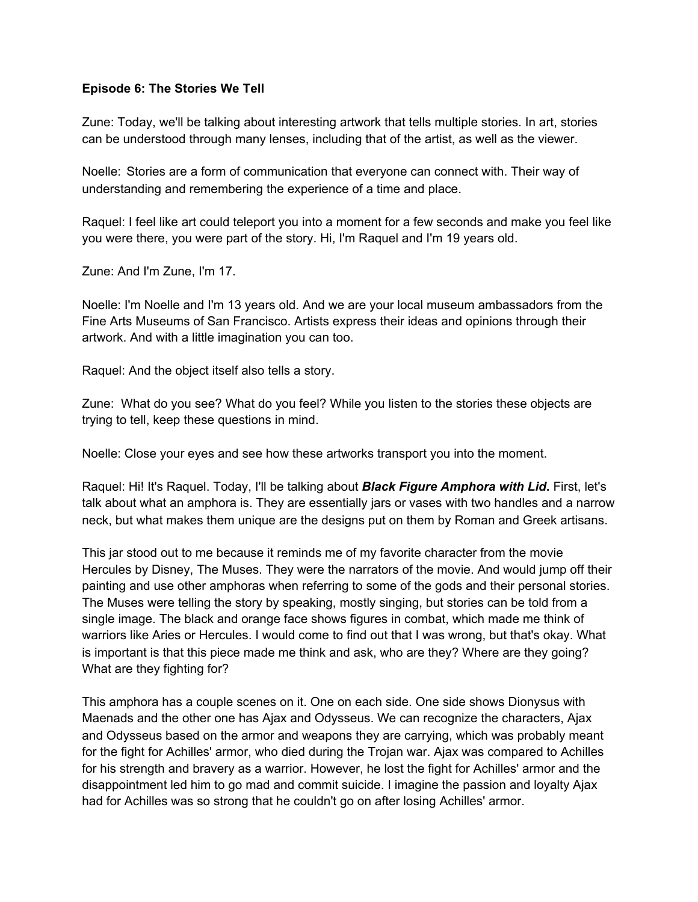## **Episode 6: The Stories We Tell**

Zune: Today, we'll be talking about interesting artwork that tells multiple stories. In art, stories can be understood through many lenses, including that of the artist, as well as the viewer.

Noelle: Stories are a form of communication that everyone can connect with. Their way of understanding and remembering the experience of a time and place.

Raquel: I feel like art could teleport you into a moment for a few seconds and make you feel like you were there, you were part of the story. Hi, I'm Raquel and I'm 19 years old.

Zune: And I'm Zune, I'm 17.

Noelle: I'm Noelle and I'm 13 years old. And we are your local museum ambassadors from the Fine Arts Museums of San Francisco. Artists express their ideas and opinions through their artwork. And with a little imagination you can too.

Raquel: And the object itself also tells a story.

Zune: What do you see? What do you feel? While you listen to the stories these objects are trying to tell, keep these questions in mind.

Noelle: Close your eyes and see how these artworks transport you into the moment.

Raquel: Hi! It's Raquel. Today, I'll be talking about *Black Figure Amphora with Lid***.** First, let's talk about what an amphora is. They are essentially jars or vases with two handles and a narrow neck, but what makes them unique are the designs put on them by Roman and Greek artisans.

This jar stood out to me because it reminds me of my favorite character from the movie Hercules by Disney, The Muses. They were the narrators of the movie. And would jump off their painting and use other amphoras when referring to some of the gods and their personal stories. The Muses were telling the story by speaking, mostly singing, but stories can be told from a single image. The black and orange face shows figures in combat, which made me think of warriors like Aries or Hercules. I would come to find out that I was wrong, but that's okay. What is important is that this piece made me think and ask, who are they? Where are they going? What are they fighting for?

This amphora has a couple scenes on it. One on each side. One side shows Dionysus with Maenads and the other one has Ajax and Odysseus. We can recognize the characters, Ajax and Odysseus based on the armor and weapons they are carrying, which was probably meant for the fight for Achilles' armor, who died during the Trojan war. Ajax was compared to Achilles for his strength and bravery as a warrior. However, he lost the fight for Achilles' armor and the disappointment led him to go mad and commit suicide. I imagine the passion and loyalty Ajax had for Achilles was so strong that he couldn't go on after losing Achilles' armor.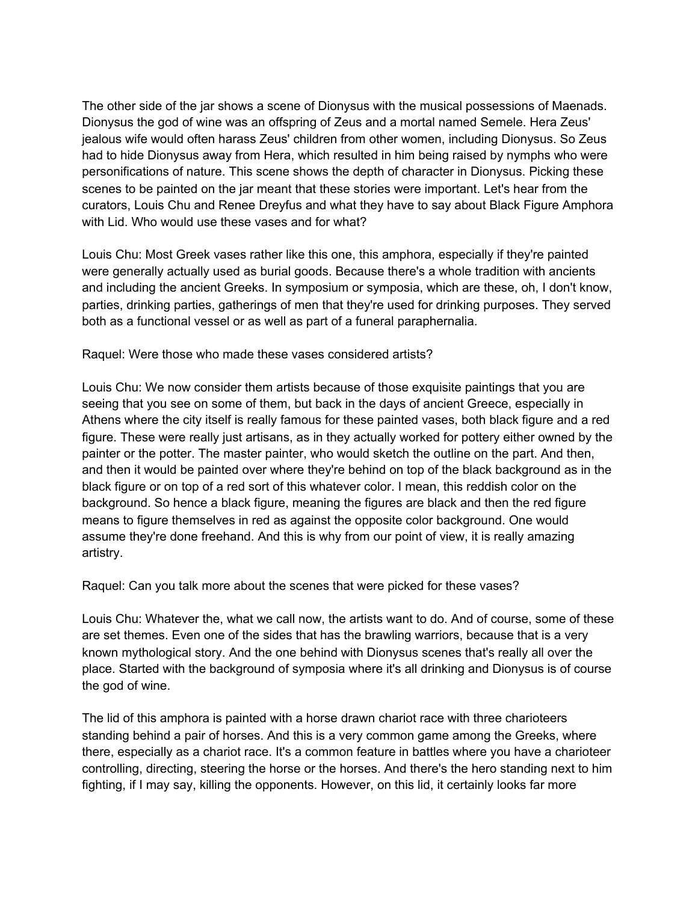The other side of the jar shows a scene of Dionysus with the musical possessions of Maenads. Dionysus the god of wine was an offspring of Zeus and a mortal named Semele. Hera Zeus' jealous wife would often harass Zeus' children from other women, including Dionysus. So Zeus had to hide Dionysus away from Hera, which resulted in him being raised by nymphs who were personifications of nature. This scene shows the depth of character in Dionysus. Picking these scenes to be painted on the jar meant that these stories were important. Let's hear from the curators, Louis Chu and Renee Dreyfus and what they have to say about Black Figure Amphora with Lid. Who would use these vases and for what?

Louis Chu: Most Greek vases rather like this one, this amphora, especially if they're painted were generally actually used as burial goods. Because there's a whole tradition with ancients and including the ancient Greeks. In symposium or symposia, which are these, oh, I don't know, parties, drinking parties, gatherings of men that they're used for drinking purposes. They served both as a functional vessel or as well as part of a funeral paraphernalia.

Raquel: Were those who made these vases considered artists?

Louis Chu: We now consider them artists because of those exquisite paintings that you are seeing that you see on some of them, but back in the days of ancient Greece, especially in Athens where the city itself is really famous for these painted vases, both black figure and a red figure. These were really just artisans, as in they actually worked for pottery either owned by the painter or the potter. The master painter, who would sketch the outline on the part. And then, and then it would be painted over where they're behind on top of the black background as in the black figure or on top of a red sort of this whatever color. I mean, this reddish color on the background. So hence a black figure, meaning the figures are black and then the red figure means to figure themselves in red as against the opposite color background. One would assume they're done freehand. And this is why from our point of view, it is really amazing artistry.

Raquel: Can you talk more about the scenes that were picked for these vases?

Louis Chu: Whatever the, what we call now, the artists want to do. And of course, some of these are set themes. Even one of the sides that has the brawling warriors, because that is a very known mythological story. And the one behind with Dionysus scenes that's really all over the place. Started with the background of symposia where it's all drinking and Dionysus is of course the god of wine.

The lid of this amphora is painted with a horse drawn chariot race with three charioteers standing behind a pair of horses. And this is a very common game among the Greeks, where there, especially as a chariot race. It's a common feature in battles where you have a charioteer controlling, directing, steering the horse or the horses. And there's the hero standing next to him fighting, if I may say, killing the opponents. However, on this lid, it certainly looks far more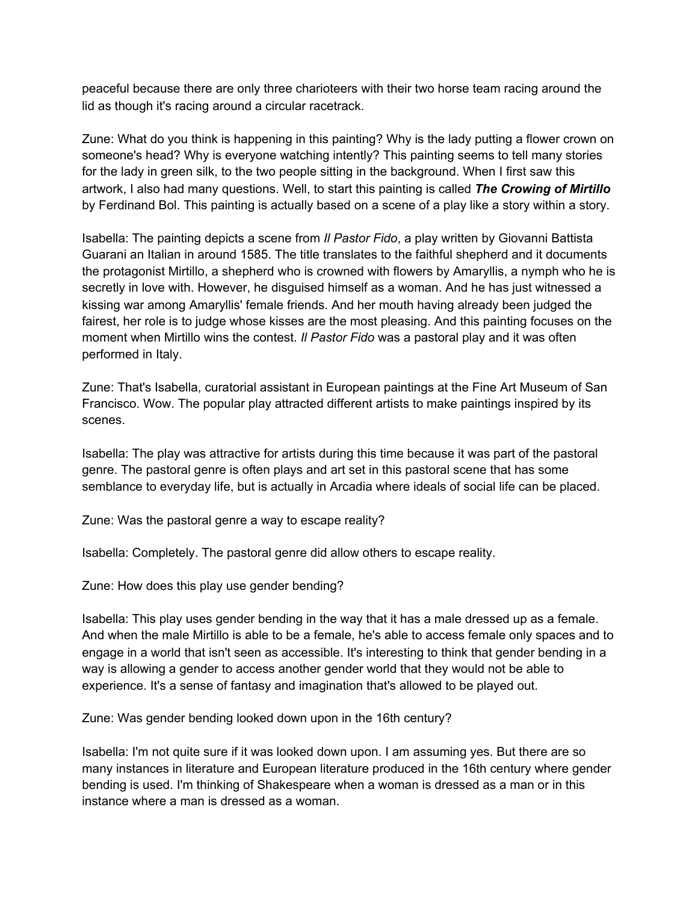peaceful because there are only three charioteers with their two horse team racing around the lid as though it's racing around a circular racetrack.

Zune: What do you think is happening in this painting? Why is the lady putting a flower crown on someone's head? Why is everyone watching intently? This painting seems to tell many stories for the lady in green silk, to the two people sitting in the background. When I first saw this artwork, I also had many questions. Well, to start this painting is called *The Crowing of Mirtillo* by Ferdinand Bol. This painting is actually based on a scene of a play like a story within a story.

Isabella: The painting depicts a scene from *Il Pastor Fido*, a play written by Giovanni Battista Guarani an Italian in around 1585. The title translates to the faithful shepherd and it documents the protagonist Mirtillo, a shepherd who is crowned with flowers by Amaryllis, a nymph who he is secretly in love with. However, he disguised himself as a woman. And he has just witnessed a kissing war among Amaryllis' female friends. And her mouth having already been judged the fairest, her role is to judge whose kisses are the most pleasing. And this painting focuses on the moment when Mirtillo wins the contest. *Il Pastor Fido* was a pastoral play and it was often performed in Italy.

Zune: That's Isabella, curatorial assistant in European paintings at the Fine Art Museum of San Francisco. Wow. The popular play attracted different artists to make paintings inspired by its scenes.

Isabella: The play was attractive for artists during this time because it was part of the pastoral genre. The pastoral genre is often plays and art set in this pastoral scene that has some semblance to everyday life, but is actually in Arcadia where ideals of social life can be placed.

Zune: Was the pastoral genre a way to escape reality?

Isabella: Completely. The pastoral genre did allow others to escape reality.

Zune: How does this play use gender bending?

Isabella: This play uses gender bending in the way that it has a male dressed up as a female. And when the male Mirtillo is able to be a female, he's able to access female only spaces and to engage in a world that isn't seen as accessible. It's interesting to think that gender bending in a way is allowing a gender to access another gender world that they would not be able to experience. It's a sense of fantasy and imagination that's allowed to be played out.

Zune: Was gender bending looked down upon in the 16th century?

Isabella: I'm not quite sure if it was looked down upon. I am assuming yes. But there are so many instances in literature and European literature produced in the 16th century where gender bending is used. I'm thinking of Shakespeare when a woman is dressed as a man or in this instance where a man is dressed as a woman.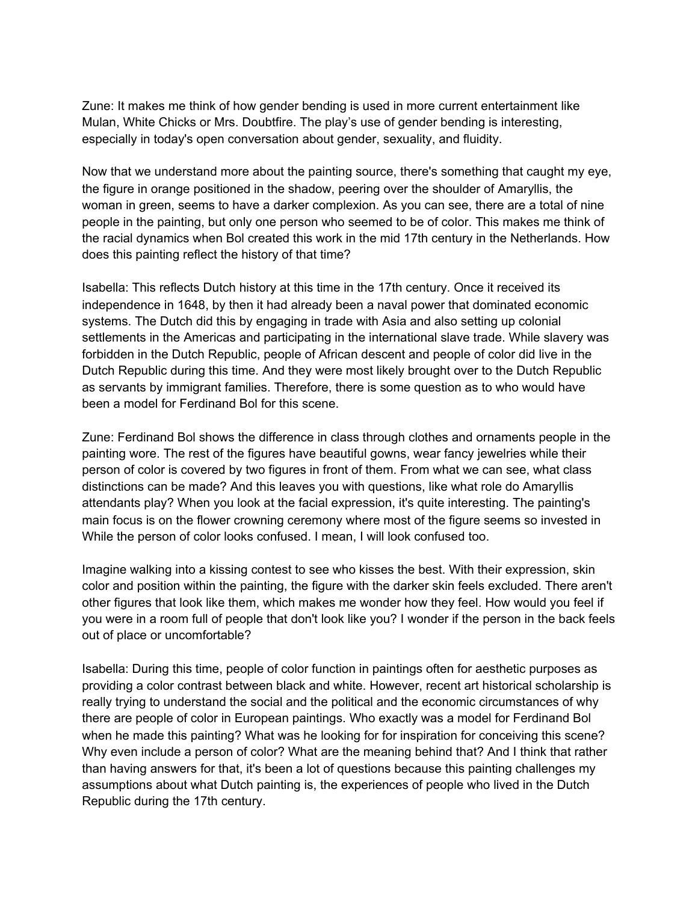Zune: It makes me think of how gender bending is used in more current entertainment like Mulan, White Chicks or Mrs. Doubtfire. The play's use of gender bending is interesting, especially in today's open conversation about gender, sexuality, and fluidity.

Now that we understand more about the painting source, there's something that caught my eye, the figure in orange positioned in the shadow, peering over the shoulder of Amaryllis, the woman in green, seems to have a darker complexion. As you can see, there are a total of nine people in the painting, but only one person who seemed to be of color. This makes me think of the racial dynamics when Bol created this work in the mid 17th century in the Netherlands. How does this painting reflect the history of that time?

Isabella: This reflects Dutch history at this time in the 17th century. Once it received its independence in 1648, by then it had already been a naval power that dominated economic systems. The Dutch did this by engaging in trade with Asia and also setting up colonial settlements in the Americas and participating in the international slave trade. While slavery was forbidden in the Dutch Republic, people of African descent and people of color did live in the Dutch Republic during this time. And they were most likely brought over to the Dutch Republic as servants by immigrant families. Therefore, there is some question as to who would have been a model for Ferdinand Bol for this scene.

Zune: Ferdinand Bol shows the difference in class through clothes and ornaments people in the painting wore. The rest of the figures have beautiful gowns, wear fancy jewelries while their person of color is covered by two figures in front of them. From what we can see, what class distinctions can be made? And this leaves you with questions, like what role do Amaryllis attendants play? When you look at the facial expression, it's quite interesting. The painting's main focus is on the flower crowning ceremony where most of the figure seems so invested in While the person of color looks confused. I mean, I will look confused too.

Imagine walking into a kissing contest to see who kisses the best. With their expression, skin color and position within the painting, the figure with the darker skin feels excluded. There aren't other figures that look like them, which makes me wonder how they feel. How would you feel if you were in a room full of people that don't look like you? I wonder if the person in the back feels out of place or uncomfortable?

Isabella: During this time, people of color function in paintings often for aesthetic purposes as providing a color contrast between black and white. However, recent art historical scholarship is really trying to understand the social and the political and the economic circumstances of why there are people of color in European paintings. Who exactly was a model for Ferdinand Bol when he made this painting? What was he looking for for inspiration for conceiving this scene? Why even include a person of color? What are the meaning behind that? And I think that rather than having answers for that, it's been a lot of questions because this painting challenges my assumptions about what Dutch painting is, the experiences of people who lived in the Dutch Republic during the 17th century.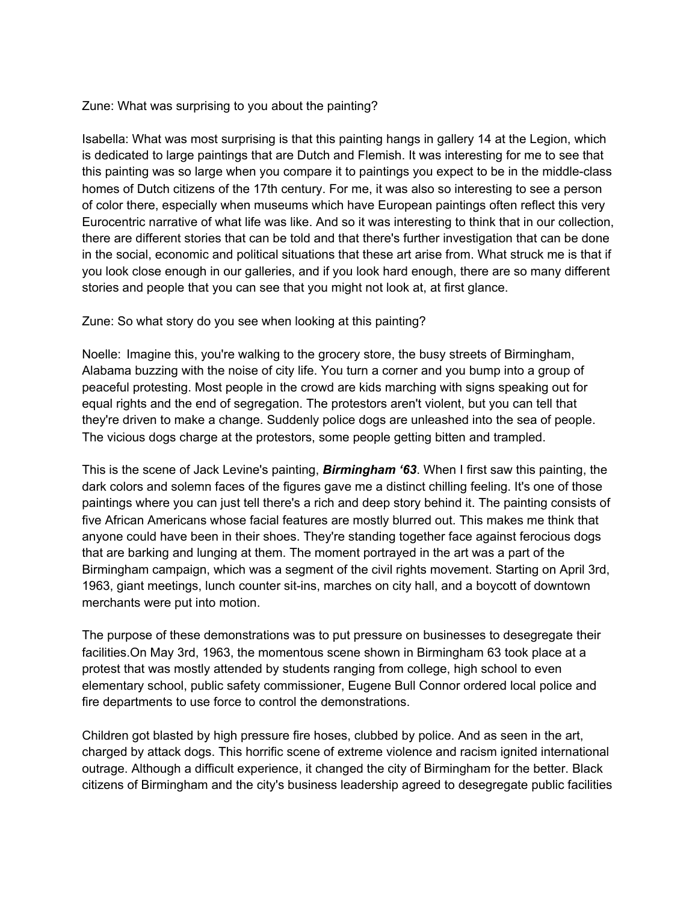Zune: What was surprising to you about the painting?

Isabella: What was most surprising is that this painting hangs in gallery 14 at the Legion, which is dedicated to large paintings that are Dutch and Flemish. It was interesting for me to see that this painting was so large when you compare it to paintings you expect to be in the middle-class homes of Dutch citizens of the 17th century. For me, it was also so interesting to see a person of color there, especially when museums which have European paintings often reflect this very Eurocentric narrative of what life was like. And so it was interesting to think that in our collection, there are different stories that can be told and that there's further investigation that can be done in the social, economic and political situations that these art arise from. What struck me is that if you look close enough in our galleries, and if you look hard enough, there are so many different stories and people that you can see that you might not look at, at first glance.

Zune: So what story do you see when looking at this painting?

Noelle: Imagine this, you're walking to the grocery store, the busy streets of Birmingham, Alabama buzzing with the noise of city life. You turn a corner and you bump into a group of peaceful protesting. Most people in the crowd are kids marching with signs speaking out for equal rights and the end of segregation. The protestors aren't violent, but you can tell that they're driven to make a change. Suddenly police dogs are unleashed into the sea of people. The vicious dogs charge at the protestors, some people getting bitten and trampled.

This is the scene of Jack Levine's painting, *Birmingham '63*. When I first saw this painting, the dark colors and solemn faces of the figures gave me a distinct chilling feeling. It's one of those paintings where you can just tell there's a rich and deep story behind it. The painting consists of five African Americans whose facial features are mostly blurred out. This makes me think that anyone could have been in their shoes. They're standing together face against ferocious dogs that are barking and lunging at them. The moment portrayed in the art was a part of the Birmingham campaign, which was a segment of the civil rights movement. Starting on April 3rd, 1963, giant meetings, lunch counter sit-ins, marches on city hall, and a boycott of downtown merchants were put into motion.

The purpose of these demonstrations was to put pressure on businesses to desegregate their facilities.On May 3rd, 1963, the momentous scene shown in Birmingham 63 took place at a protest that was mostly attended by students ranging from college, high school to even elementary school, public safety commissioner, Eugene Bull Connor ordered local police and fire departments to use force to control the demonstrations.

Children got blasted by high pressure fire hoses, clubbed by police. And as seen in the art, charged by attack dogs. This horrific scene of extreme violence and racism ignited international outrage. Although a difficult experience, it changed the city of Birmingham for the better. Black citizens of Birmingham and the city's business leadership agreed to desegregate public facilities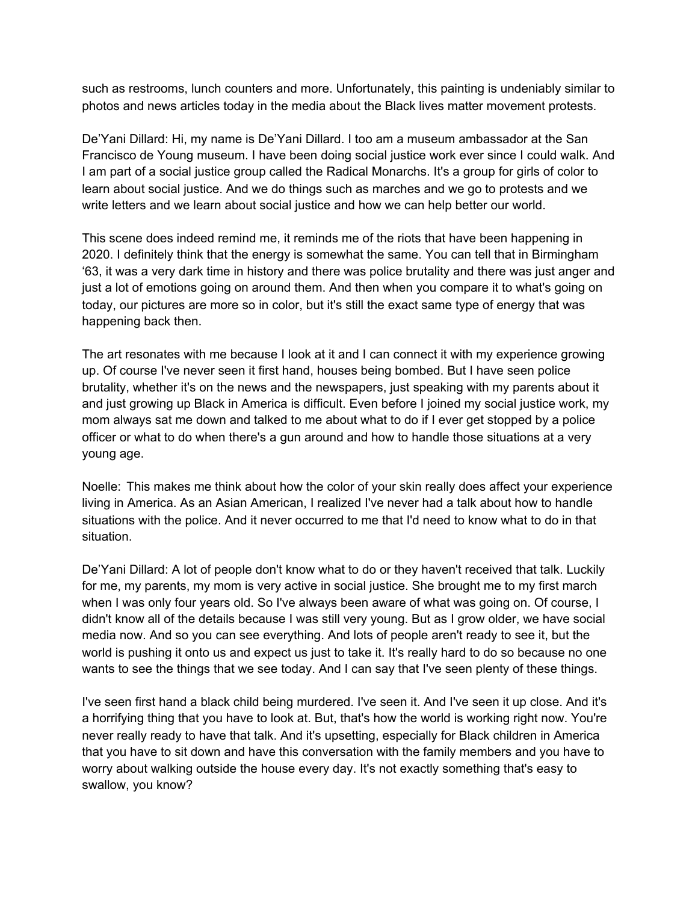such as restrooms, lunch counters and more. Unfortunately, this painting is undeniably similar to photos and news articles today in the media about the Black lives matter movement protests.

De'Yani Dillard: Hi, my name is De'Yani Dillard. I too am a museum ambassador at the San Francisco de Young museum. I have been doing social justice work ever since I could walk. And I am part of a social justice group called the Radical Monarchs. It's a group for girls of color to learn about social justice. And we do things such as marches and we go to protests and we write letters and we learn about social justice and how we can help better our world.

This scene does indeed remind me, it reminds me of the riots that have been happening in 2020. I definitely think that the energy is somewhat the same. You can tell that in Birmingham '63, it was a very dark time in history and there was police brutality and there was just anger and just a lot of emotions going on around them. And then when you compare it to what's going on today, our pictures are more so in color, but it's still the exact same type of energy that was happening back then.

The art resonates with me because I look at it and I can connect it with my experience growing up. Of course I've never seen it first hand, houses being bombed. But I have seen police brutality, whether it's on the news and the newspapers, just speaking with my parents about it and just growing up Black in America is difficult. Even before I joined my social justice work, my mom always sat me down and talked to me about what to do if I ever get stopped by a police officer or what to do when there's a gun around and how to handle those situations at a very young age.

Noelle: This makes me think about how the color of your skin really does affect your experience living in America. As an Asian American, I realized I've never had a talk about how to handle situations with the police. And it never occurred to me that I'd need to know what to do in that situation.

De'Yani Dillard: A lot of people don't know what to do or they haven't received that talk. Luckily for me, my parents, my mom is very active in social justice. She brought me to my first march when I was only four years old. So I've always been aware of what was going on. Of course, I didn't know all of the details because I was still very young. But as I grow older, we have social media now. And so you can see everything. And lots of people aren't ready to see it, but the world is pushing it onto us and expect us just to take it. It's really hard to do so because no one wants to see the things that we see today. And I can say that I've seen plenty of these things.

I've seen first hand a black child being murdered. I've seen it. And I've seen it up close. And it's a horrifying thing that you have to look at. But, that's how the world is working right now. You're never really ready to have that talk. And it's upsetting, especially for Black children in America that you have to sit down and have this conversation with the family members and you have to worry about walking outside the house every day. It's not exactly something that's easy to swallow, you know?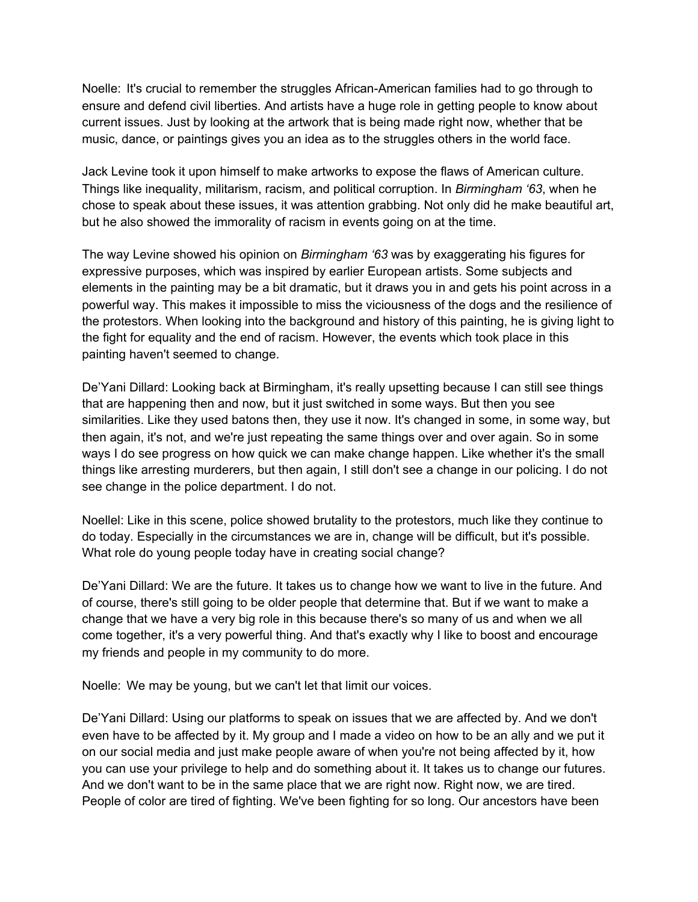Noelle: It's crucial to remember the struggles African-American families had to go through to ensure and defend civil liberties. And artists have a huge role in getting people to know about current issues. Just by looking at the artwork that is being made right now, whether that be music, dance, or paintings gives you an idea as to the struggles others in the world face.

Jack Levine took it upon himself to make artworks to expose the flaws of American culture. Things like inequality, militarism, racism, and political corruption. In *Birmingham '63*, when he chose to speak about these issues, it was attention grabbing. Not only did he make beautiful art, but he also showed the immorality of racism in events going on at the time.

The way Levine showed his opinion on *Birmingham '63* was by exaggerating his figures for expressive purposes, which was inspired by earlier European artists. Some subjects and elements in the painting may be a bit dramatic, but it draws you in and gets his point across in a powerful way. This makes it impossible to miss the viciousness of the dogs and the resilience of the protestors. When looking into the background and history of this painting, he is giving light to the fight for equality and the end of racism. However, the events which took place in this painting haven't seemed to change.

De'Yani Dillard: Looking back at Birmingham, it's really upsetting because I can still see things that are happening then and now, but it just switched in some ways. But then you see similarities. Like they used batons then, they use it now. It's changed in some, in some way, but then again, it's not, and we're just repeating the same things over and over again. So in some ways I do see progress on how quick we can make change happen. Like whether it's the small things like arresting murderers, but then again, I still don't see a change in our policing. I do not see change in the police department. I do not.

Noellel: Like in this scene, police showed brutality to the protestors, much like they continue to do today. Especially in the circumstances we are in, change will be difficult, but it's possible. What role do young people today have in creating social change?

De'Yani Dillard: We are the future. It takes us to change how we want to live in the future. And of course, there's still going to be older people that determine that. But if we want to make a change that we have a very big role in this because there's so many of us and when we all come together, it's a very powerful thing. And that's exactly why I like to boost and encourage my friends and people in my community to do more.

Noelle: We may be young, but we can't let that limit our voices.

De'Yani Dillard: Using our platforms to speak on issues that we are affected by. And we don't even have to be affected by it. My group and I made a video on how to be an ally and we put it on our social media and just make people aware of when you're not being affected by it, how you can use your privilege to help and do something about it. It takes us to change our futures. And we don't want to be in the same place that we are right now. Right now, we are tired. People of color are tired of fighting. We've been fighting for so long. Our ancestors have been